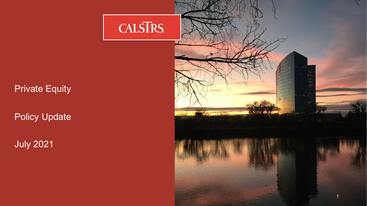#### Private Equity

Policy Update

July 2021

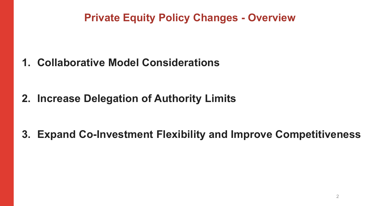# **Private Equity Policy Changes - Overview**

**1. Collaborative Model Considerations**

**2. Increase Delegation of Authority Limits**

**3. Expand Co-Investment Flexibility and Improve Competitiveness**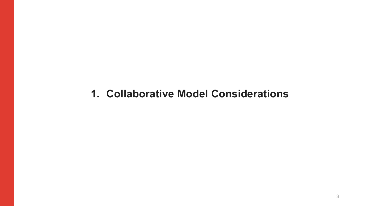## **1. Collaborative Model Considerations**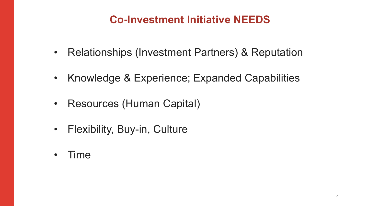# **Co-Investment Initiative NEEDS**

- Relationships (Investment Partners) & Reputation
- Knowledge & Experience; Expanded Capabilities
- Resources (Human Capital)
- Flexibility, Buy-in, Culture
- Time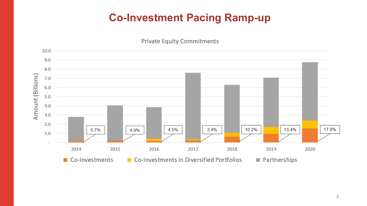# **Co-Investment Pacing Ramp-up**



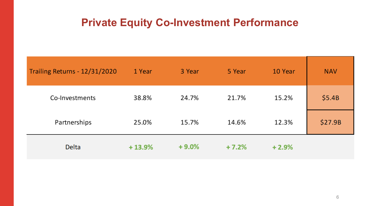## **Private Equity Co-Investment Performance**

| Trailing Returns - 12/31/2020 | 1 Year   | 3 Year  | 5 Year  | 10 Year | <b>NAV</b> |
|-------------------------------|----------|---------|---------|---------|------------|
| Co-Investments                | 38.8%    | 24.7%   | 21.7%   | 15.2%   | \$5.4B     |
| Partnerships                  | 25.0%    | 15.7%   | 14.6%   | 12.3%   | \$27.9B    |
| <b>Delta</b>                  | $+13.9%$ | $+9.0%$ | $+7.2%$ | $+2.9%$ |            |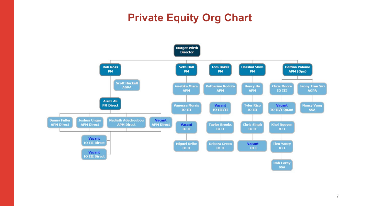# **Private Equity Org Chart**

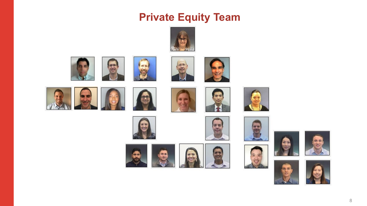## **Private Equity Team**







勤策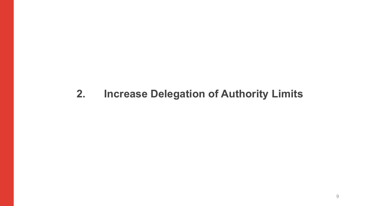#### **2. Increase Delegation of Authority Limits**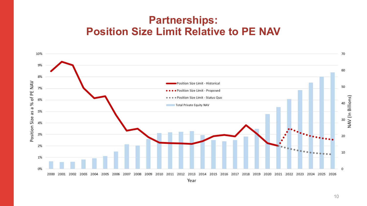## **Partnerships: Position Size Limit Relative to PE NAV**

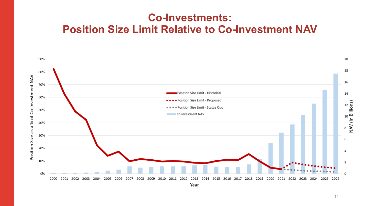#### **Co-Investments: Position Size Limit Relative to Co-Investment NAV**

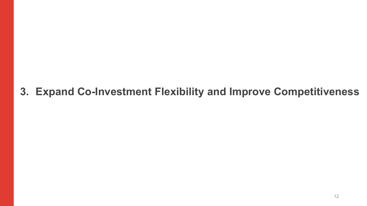# **3. Expand Co-Investment Flexibility and Improve Competitiveness**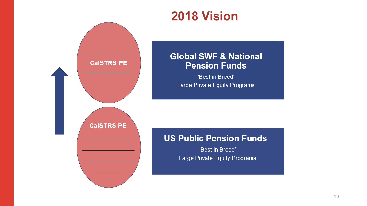



'Best in Breed' Large Private Equity Programs

#### **US Public Pension Funds**

**CalSTRS PE**

**CalSTRS PE** 

'Best in Breed' Large Private Equity Programs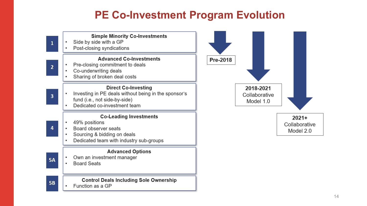## **PE Co-Investment Program Evolution**

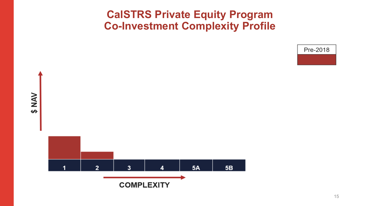### **CalSTRS Private Equity Program Co-Investment Complexity Profile**

Pre-2018



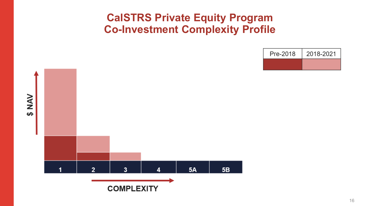## **CalSTRS Private Equity Program Co-Investment Complexity Profile**





16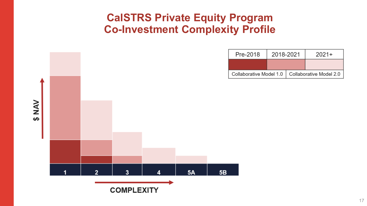## **CalSTRS Private Equity Program Co-Investment Complexity Profile**

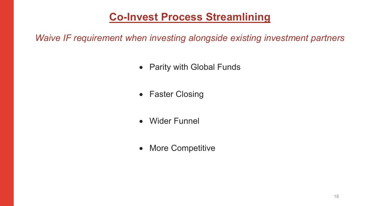## **Co-Invest Process Streamlining**

*Waive IF requirement when investing alongside existing investment partners*

- Parity with Global Funds
- Faster Closing
- Wider Funnel
- More Competitive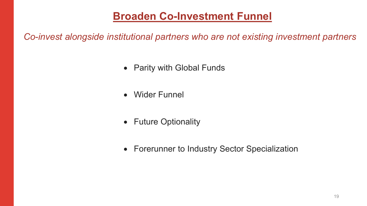## **Broaden Co-Investment Funnel**

*Co-invest alongside institutional partners who are not existing investment partners*

- Parity with Global Funds
- Wider Funnel
- Future Optionality
- Forerunner to Industry Sector Specialization